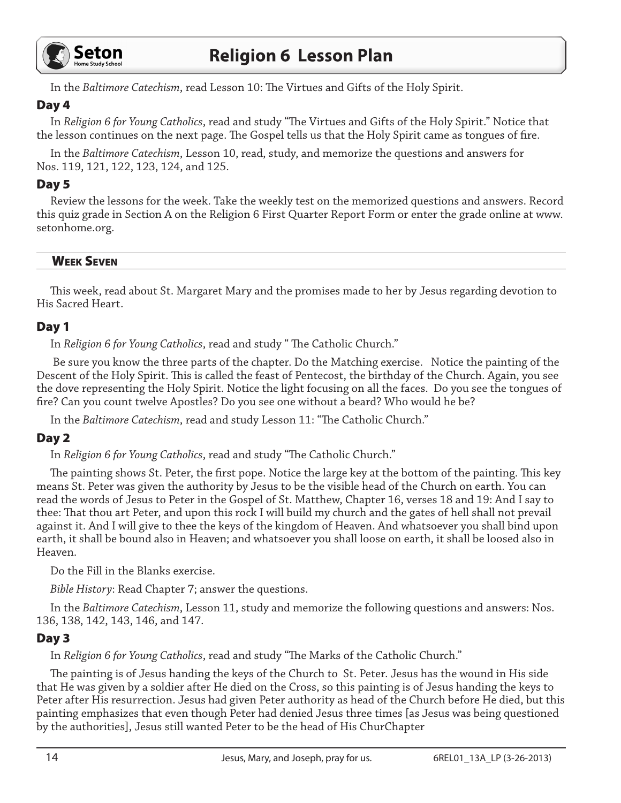

In the *Baltimore Catechism*, read Lesson 10: The Virtues and Gifts of the Holy Spirit.

# Day 4

In *Religion 6 for Young Catholics*, read and study "The Virtues and Gifts of the Holy Spirit." Notice that the lesson continues on the next page. The Gospel tells us that the Holy Spirit came as tongues of fire.

In the *Baltimore Catechism*, Lesson 10, read, study, and memorize the questions and answers for Nos. 119, 121, 122, 123, 124, and 125.

# Day 5

Review the lessons for the week. Take the weekly test on the memorized questions and answers. Record this quiz grade in Section A on the Religion 6 First Quarter Report Form or enter the grade online at www. setonhome.org.

#### Week Seven

This week, read about St. Margaret Mary and the promises made to her by Jesus regarding devotion to His Sacred Heart.

### Day 1

In *Religion 6 for Young Catholics*, read and study " The Catholic Church."

 Be sure you know the three parts of the chapter. Do the Matching exercise. Notice the painting of the Descent of the Holy Spirit. This is called the feast of Pentecost, the birthday of the Church. Again, you see the dove representing the Holy Spirit. Notice the light focusing on all the faces. Do you see the tongues of fire? Can you count twelve Apostles? Do you see one without a beard? Who would he be?

In the *Baltimore Catechism*, read and study Lesson 11: "The Catholic Church."

# Day 2

In *Religion 6 for Young Catholics*, read and study "The Catholic Church."

The painting shows St. Peter, the first pope. Notice the large key at the bottom of the painting. This key means St. Peter was given the authority by Jesus to be the visible head of the Church on earth. You can read the words of Jesus to Peter in the Gospel of St. Matthew, Chapter 16, verses 18 and 19: And I say to thee: That thou art Peter, and upon this rock I will build my church and the gates of hell shall not prevail against it. And I will give to thee the keys of the kingdom of Heaven. And whatsoever you shall bind upon earth, it shall be bound also in Heaven; and whatsoever you shall loose on earth, it shall be loosed also in Heaven.

Do the Fill in the Blanks exercise.

*Bible History*: Read Chapter 7; answer the questions.

In the *Baltimore Catechism*, Lesson 11, study and memorize the following questions and answers: Nos. 136, 138, 142, 143, 146, and 147.

# Day 3

In *Religion 6 for Young Catholics*, read and study "The Marks of the Catholic Church."

The painting is of Jesus handing the keys of the Church to St. Peter. Jesus has the wound in His side that He was given by a soldier after He died on the Cross, so this painting is of Jesus handing the keys to Peter after His resurrection. Jesus had given Peter authority as head of the Church before He died, but this painting emphasizes that even though Peter had denied Jesus three times [as Jesus was being questioned by the authorities], Jesus still wanted Peter to be the head of His ChurChapter